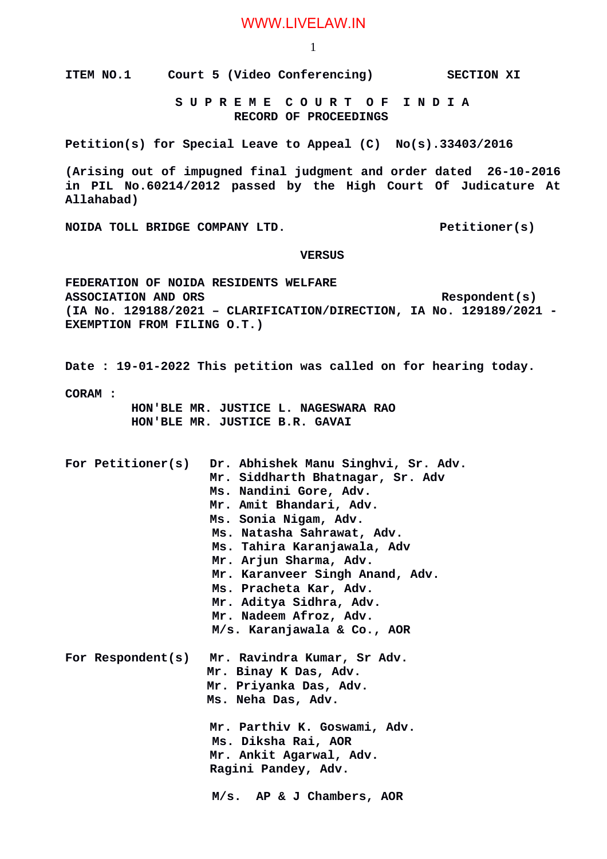## WWW.LIVELAW.IN

1

**ITEM NO.1 Court 5 (Video Conferencing) SECTION XI**

 **S U P R E M E C O U R T O F I N D I A RECORD OF PROCEEDINGS**

**Petition(s) for Special Leave to Appeal (C) No(s).33403/2016**

**(Arising out of impugned final judgment and order dated 26-10-2016 in PIL No.60214/2012 passed by the High Court Of Judicature At Allahabad)**

**NOIDA TOLL BRIDGE COMPANY LTD.** Petitioner(s)

## **VERSUS**

**FEDERATION OF NOIDA RESIDENTS WELFARE**  ASSOCIATION AND ORS Respondent(s) **(IA No. 129188/2021 – CLARIFICATION/DIRECTION, IA No. 129189/2021 - EXEMPTION FROM FILING O.T.)**

**Date : 19-01-2022 This petition was called on for hearing today.**

**CORAM :** 

 **HON'BLE MR. JUSTICE L. NAGESWARA RAO HON'BLE MR. JUSTICE B.R. GAVAI**

**For Petitioner(s) Dr. Abhishek Manu Singhvi, Sr. Adv. Mr. Siddharth Bhatnagar, Sr. Adv Ms. Nandini Gore, Adv. Mr. Amit Bhandari, Adv. Ms. Sonia Nigam, Adv. Ms. Natasha Sahrawat, Adv. Ms. Tahira Karanjawala, Adv Mr. Arjun Sharma, Adv. Mr. Karanveer Singh Anand, Adv. Ms. Pracheta Kar, Adv. Mr. Aditya Sidhra, Adv. Mr. Nadeem Afroz, Adv. M/s. Karanjawala & Co., AOR For Respondent(s) Mr. Ravindra Kumar, Sr Adv. Mr. Binay K Das, Adv. Mr. Priyanka Das, Adv. Ms. Neha Das, Adv. Mr. Parthiv K. Goswami, Adv. Ms. Diksha Rai, AOR Mr. Ankit Agarwal, Adv. Ragini Pandey, Adv. M/s. AP & J Chambers, AOR**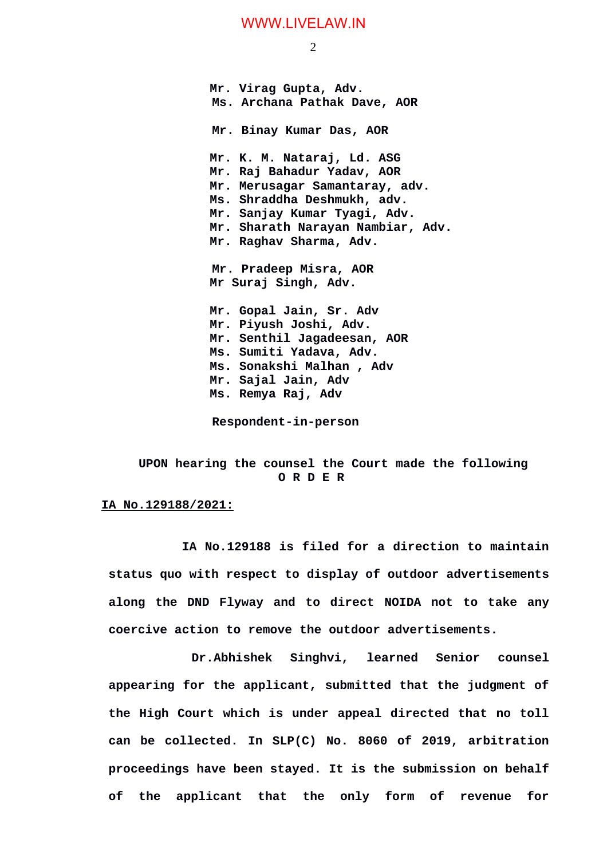## WWW.LIVELAW.IN

2

**Mr. Virag Gupta, Adv. Ms. Archana Pathak Dave, AOR Mr. Binay Kumar Das, AOR Mr. K. M. Nataraj, Ld. ASG Mr. Raj Bahadur Yadav, AOR Mr. Merusagar Samantaray, adv. Ms. Shraddha Deshmukh, adv. Mr. Sanjay Kumar Tyagi, Adv. Mr. Sharath Narayan Nambiar, Adv. Mr. Raghav Sharma, Adv. Mr. Pradeep Misra, AOR Mr Suraj Singh, Adv. Mr. Gopal Jain, Sr. Adv Mr. Piyush Joshi, Adv. Mr. Senthil Jagadeesan, AOR Ms. Sumiti Yadava, Adv. Ms. Sonakshi Malhan , Adv Mr. Sajal Jain, Adv Ms. Remya Raj, Adv**

 **Respondent-in-person**

 **UPON hearing the counsel the Court made the following O R D E R**

## **IA No.129188/2021:**

 **IA No.129188 is filed for a direction to maintain status quo with respect to display of outdoor advertisements along the DND Flyway and to direct NOIDA not to take any coercive action to remove the outdoor advertisements.**

 **Dr.Abhishek Singhvi, learned Senior counsel appearing for the applicant, submitted that the judgment of the High Court which is under appeal directed that no toll can be collected. In SLP(C) No. 8060 of 2019, arbitration proceedings have been stayed. It is the submission on behalf of the applicant that the only form of revenue for**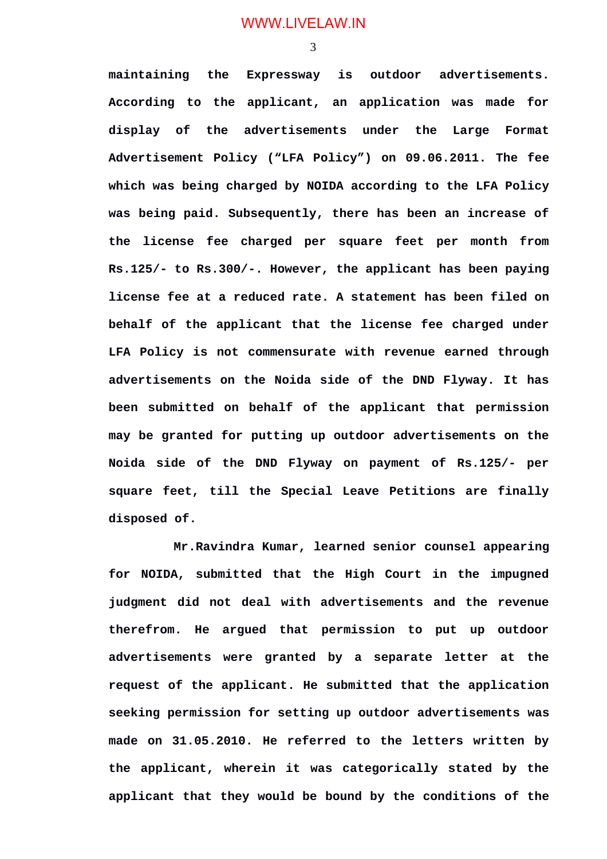WWW.LIVELAW.IN

3

**maintaining the Expressway is outdoor advertisements. According to the applicant, an application was made for display of the advertisements under the Large Format Advertisement Policy ("LFA Policy") on 09.06.2011. The fee which was being charged by NOIDA according to the LFA Policy was being paid. Subsequently, there has been an increase of the license fee charged per square feet per month from Rs.125/- to Rs.300/-. However, the applicant has been paying license fee at a reduced rate. A statement has been filed on behalf of the applicant that the license fee charged under LFA Policy is not commensurate with revenue earned through advertisements on the Noida side of the DND Flyway. It has been submitted on behalf of the applicant that permission may be granted for putting up outdoor advertisements on the Noida side of the DND Flyway on payment of Rs.125/- per square feet, till the Special Leave Petitions are finally disposed of.** 

**Mr.Ravindra Kumar, learned senior counsel appearing for NOIDA, submitted that the High Court in the impugned judgment did not deal with advertisements and the revenue therefrom. He argued that permission to put up outdoor advertisements were granted by a separate letter at the request of the applicant. He submitted that the application seeking permission for setting up outdoor advertisements was made on 31.05.2010. He referred to the letters written by the applicant, wherein it was categorically stated by the applicant that they would be bound by the conditions of the**